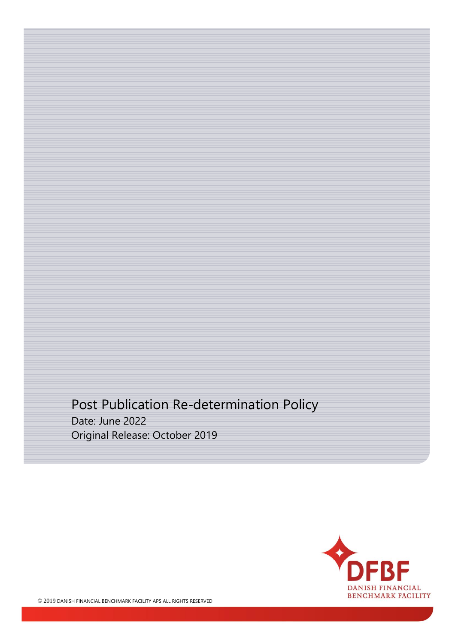Post Publication Re-determination Policy Date: June 2022 Original Release: October 2019

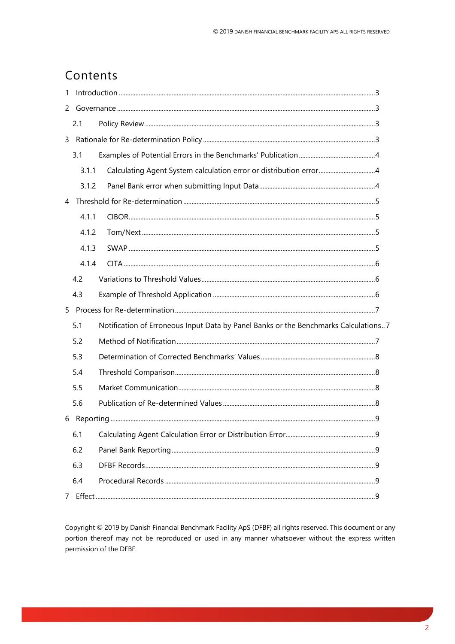# Contents

| 1           |       |                                                                                     |  |  |
|-------------|-------|-------------------------------------------------------------------------------------|--|--|
| 2           |       |                                                                                     |  |  |
|             | 2.1   |                                                                                     |  |  |
|             |       |                                                                                     |  |  |
|             | 3.1   |                                                                                     |  |  |
|             | 3.1.1 |                                                                                     |  |  |
|             | 3.1.2 |                                                                                     |  |  |
| 4           |       |                                                                                     |  |  |
|             | 4.1.1 |                                                                                     |  |  |
|             | 4.1.2 |                                                                                     |  |  |
|             | 4.1.3 |                                                                                     |  |  |
|             | 4.1.4 |                                                                                     |  |  |
|             | 4.2   |                                                                                     |  |  |
|             | 4.3   |                                                                                     |  |  |
| 5           |       |                                                                                     |  |  |
|             | 5.1   | Notification of Erroneous Input Data by Panel Banks or the Benchmarks Calculations7 |  |  |
|             | 5.2   |                                                                                     |  |  |
|             | 5.3   |                                                                                     |  |  |
|             | 5.4   |                                                                                     |  |  |
|             | 5.5   |                                                                                     |  |  |
|             | 5.6   |                                                                                     |  |  |
| 6           |       |                                                                                     |  |  |
|             | 6.1   |                                                                                     |  |  |
|             | 6.2   |                                                                                     |  |  |
|             | 6.3   |                                                                                     |  |  |
|             | 6.4   |                                                                                     |  |  |
| $7^{\circ}$ |       |                                                                                     |  |  |

Copyright © 2019 by Danish Financial Benchmark Facility ApS (DFBF) all rights reserved. This document or any portion thereof may not be reproduced or used in any manner whatsoever without the express written permission of the DFBF.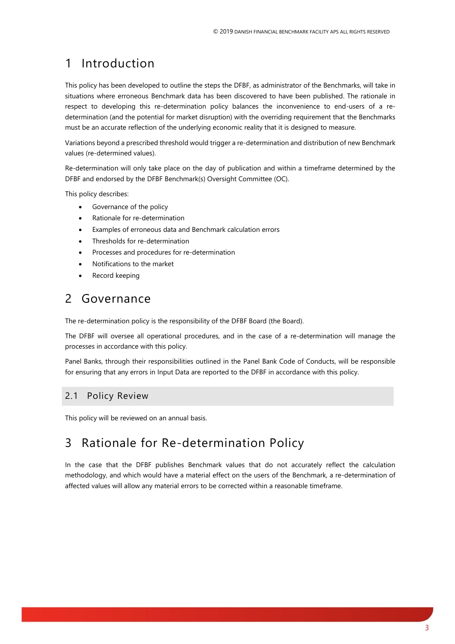# <span id="page-2-0"></span>1 Introduction

This policy has been developed to outline the steps the DFBF, as administrator of the Benchmarks, will take in situations where erroneous Benchmark data has been discovered to have been published. The rationale in respect to developing this re-determination policy balances the inconvenience to end-users of a redetermination (and the potential for market disruption) with the overriding requirement that the Benchmarks must be an accurate reflection of the underlying economic reality that it is designed to measure.

Variations beyond a prescribed threshold would trigger a re-determination and distribution of new Benchmark values (re-determined values).

Re-determination will only take place on the day of publication and within a timeframe determined by the DFBF and endorsed by the DFBF Benchmark(s) Oversight Committee (OC).

This policy describes:

- Governance of the policy
- Rationale for re-determination
- Examples of erroneous data and Benchmark calculation errors
- Thresholds for re-determination
- Processes and procedures for re-determination
- Notifications to the market
- Record keeping

# <span id="page-2-1"></span>2 Governance

The re-determination policy is the responsibility of the DFBF Board (the Board).

The DFBF will oversee all operational procedures, and in the case of a re-determination will manage the processes in accordance with this policy.

Panel Banks, through their responsibilities outlined in the Panel Bank Code of Conducts, will be responsible for ensuring that any errors in Input Data are reported to the DFBF in accordance with this policy.

#### <span id="page-2-2"></span>2.1 Policy Review

<span id="page-2-3"></span>This policy will be reviewed on an annual basis.

# 3 Rationale for Re-determination Policy

In the case that the DFBF publishes Benchmark values that do not accurately reflect the calculation methodology, and which would have a material effect on the users of the Benchmark, a re-determination of affected values will allow any material errors to be corrected within a reasonable timeframe.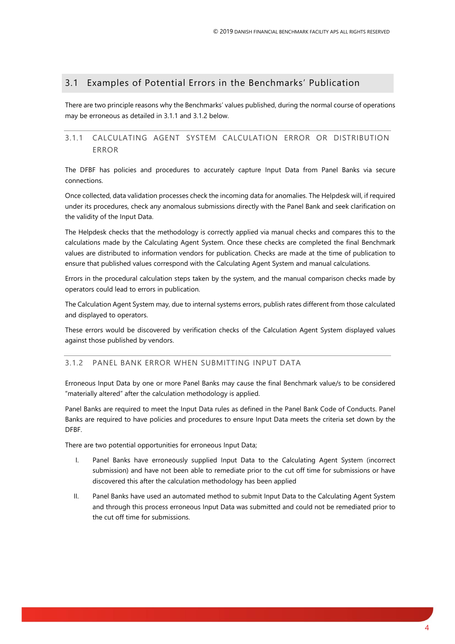### <span id="page-3-0"></span>3.1 Examples of Potential Errors in the Benchmarks' Publication

There are two principle reasons why the Benchmarks' values published, during the normal course of operations may be erroneous as detailed in 3.1.1 and 3.1.2 below.

#### <span id="page-3-1"></span>3.1.1 CALCULATING AGENT SYSTEM CALCULATION ERROR OR DISTRIBUTION ERROR

The DFBF has policies and procedures to accurately capture Input Data from Panel Banks via secure connections.

Once collected, data validation processes check the incoming data for anomalies. The Helpdesk will, if required under its procedures, check any anomalous submissions directly with the Panel Bank and seek clarification on the validity of the Input Data.

The Helpdesk checks that the methodology is correctly applied via manual checks and compares this to the calculations made by the Calculating Agent System. Once these checks are completed the final Benchmark values are distributed to information vendors for publication. Checks are made at the time of publication to ensure that published values correspond with the Calculating Agent System and manual calculations.

Errors in the procedural calculation steps taken by the system, and the manual comparison checks made by operators could lead to errors in publication.

The Calculation Agent System may, due to internal systems errors, publish rates different from those calculated and displayed to operators.

These errors would be discovered by verification checks of the Calculation Agent System displayed values against those published by vendors.

#### <span id="page-3-2"></span>3.1.2 PANEL BANK ERROR WHEN SUBMITTING INPUT DATA

Erroneous Input Data by one or more Panel Banks may cause the final Benchmark value/s to be considered "materially altered" after the calculation methodology is applied.

Panel Banks are required to meet the Input Data rules as defined in the Panel Bank Code of Conducts. Panel Banks are required to have policies and procedures to ensure Input Data meets the criteria set down by the DFBF.

There are two potential opportunities for erroneous Input Data;

- I. Panel Banks have erroneously supplied Input Data to the Calculating Agent System (incorrect submission) and have not been able to remediate prior to the cut off time for submissions or have discovered this after the calculation methodology has been applied
- II. Panel Banks have used an automated method to submit Input Data to the Calculating Agent System and through this process erroneous Input Data was submitted and could not be remediated prior to the cut off time for submissions.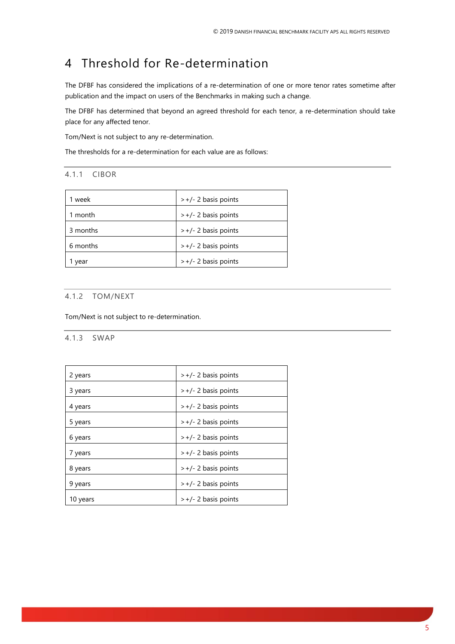# <span id="page-4-0"></span>4 Threshold for Re-determination

The DFBF has considered the implications of a re-determination of one or more tenor rates sometime after publication and the impact on users of the Benchmarks in making such a change.

The DFBF has determined that beyond an agreed threshold for each tenor, a re-determination should take place for any affected tenor.

Tom/Next is not subject to any re-determination.

<span id="page-4-1"></span>The thresholds for a re-determination for each value are as follows:

#### 4.1.1 CIBOR

| week     | $>+/$ - 2 basis points |  |
|----------|------------------------|--|
| 1 month  | $>+/$ - 2 basis points |  |
| 3 months | $>+/$ - 2 basis points |  |
| 6 months | $>+/$ - 2 basis points |  |
| year     | $>+/$ - 2 basis points |  |

#### <span id="page-4-2"></span>4.1.2 TOM/NEXT

<span id="page-4-3"></span>Tom/Next is not subject to re-determination.

#### 4.1.3 SWAP

| 2 years  | > +/- 2 basis points   |  |
|----------|------------------------|--|
| 3 years  | > +/- 2 basis points   |  |
| 4 years  | $>+/$ - 2 basis points |  |
| 5 years  | $>+/$ - 2 basis points |  |
| 6 years  | > +/- 2 basis points   |  |
| 7 years  | $>+/$ - 2 basis points |  |
| 8 years  | $>+/$ - 2 basis points |  |
| 9 years  | $>+/$ - 2 basis points |  |
| 10 years | > +/- 2 basis points   |  |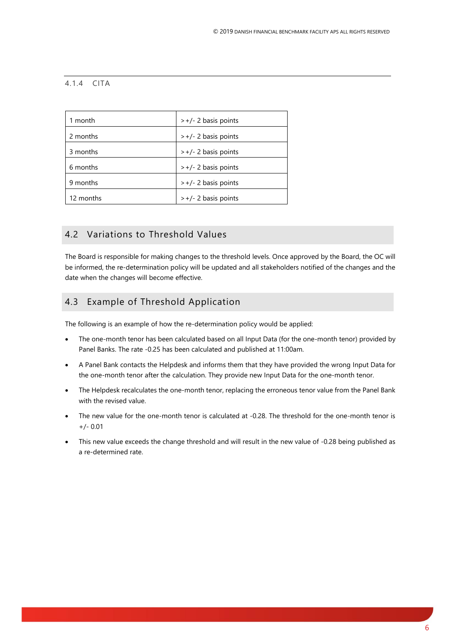#### <span id="page-5-0"></span>4.1.4 CITA

| 1 month   | $>+/$ - 2 basis points |  |
|-----------|------------------------|--|
| 2 months  | $>+/$ - 2 basis points |  |
| 3 months  | $>+/$ - 2 basis points |  |
| 6 months  | $>+/$ - 2 basis points |  |
| 9 months  | $>+/$ - 2 basis points |  |
| 12 months | $>+/$ - 2 basis points |  |

### <span id="page-5-1"></span>4.2 Variations to Threshold Values

The Board is responsible for making changes to the threshold levels. Once approved by the Board, the OC will be informed, the re-determination policy will be updated and all stakeholders notified of the changes and the date when the changes will become effective.

### <span id="page-5-2"></span>4.3 Example of Threshold Application

The following is an example of how the re-determination policy would be applied:

- The one-month tenor has been calculated based on all Input Data (for the one-month tenor) provided by Panel Banks. The rate -0.25 has been calculated and published at 11:00am.
- A Panel Bank contacts the Helpdesk and informs them that they have provided the wrong Input Data for the one-month tenor after the calculation. They provide new Input Data for the one-month tenor.
- The Helpdesk recalculates the one-month tenor, replacing the erroneous tenor value from the Panel Bank with the revised value.
- The new value for the one-month tenor is calculated at -0.28. The threshold for the one-month tenor is +/- 0.01
- This new value exceeds the change threshold and will result in the new value of -0.28 being published as a re-determined rate.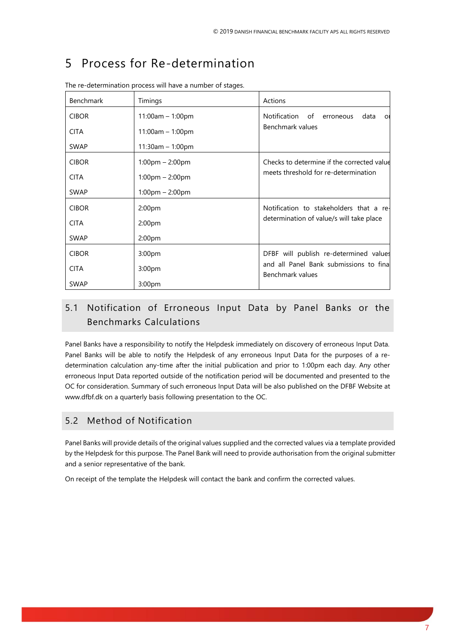# <span id="page-6-0"></span>5 Process for Re-determination

| <b>Benchmark</b> | Timings                           | Actions                                                     |
|------------------|-----------------------------------|-------------------------------------------------------------|
| <b>CIBOR</b>     | $11:00am - 1:00pm$                | Notification<br>of<br>data<br>erroneous<br>$\overline{O}$   |
| <b>CITA</b>      | $11:00am - 1:00pm$                | Benchmark values                                            |
| <b>SWAP</b>      | $11:30$ am - 1:00pm               |                                                             |
| <b>CIBOR</b>     | $1:00 \text{pm} - 2:00 \text{pm}$ | Checks to determine if the corrected value                  |
| <b>CITA</b>      | $1:00 \text{pm} - 2:00 \text{pm}$ | meets threshold for re-determination                        |
| <b>SWAP</b>      | $1:00 \text{pm} - 2:00 \text{pm}$ |                                                             |
| <b>CIBOR</b>     | 2:00 <sub>pm</sub>                | Notification to stakeholders that a re-                     |
| <b>CITA</b>      | 2:00 <sub>pm</sub>                | determination of value/s will take place                    |
| <b>SWAP</b>      | 2:00pm                            |                                                             |
| <b>CIBOR</b>     | 3:00pm                            | DFBF will publish re-determined values                      |
| <b>CITA</b>      | 3:00 <sub>pm</sub>                | and all Panel Bank submissions to final<br>Benchmark values |
| <b>SWAP</b>      | 3:00 <sub>pm</sub>                |                                                             |

The re-determination process will have a number of stages.

# <span id="page-6-1"></span>5.1 Notification of Erroneous Input Data by Panel Banks or the Benchmarks Calculations

Panel Banks have a responsibility to notify the Helpdesk immediately on discovery of erroneous Input Data. Panel Banks will be able to notify the Helpdesk of any erroneous Input Data for the purposes of a redetermination calculation any-time after the initial publication and prior to 1:00pm each day. Any other erroneous Input Data reported outside of the notification period will be documented and presented to the OC for consideration. Summary of such erroneous Input Data will be also published on the DFBF Website at [www.dfbf.dk](https://apc01.safelinks.protection.outlook.com/?url=http%3A%2F%2Fwww.dfbf.dk%2F&data=02%7C01%7Cmartina.mozerova%40globalrateset.com%7Cbe63a014de6e4d16c54208d834f0bfac%7C061fd2d70a1747d8ac5e5a83ef22bdea%7C0%7C0%7C637317555895150499&sdata=4zy%2FVQbq2dG2pYsjvWMLP37IJ3sOG2JC6HIG2z9x%2BiM%3D&reserved=0) on a quarterly basis following presentation to the OC.

### <span id="page-6-2"></span>5.2 Method of Notification

Panel Banks will provide details of the original values supplied and the corrected values via a template provided by the Helpdesk for this purpose. The Panel Bank will need to provide authorisation from the original submitter and a senior representative of the bank.

On receipt of the template the Helpdesk will contact the bank and confirm the corrected values.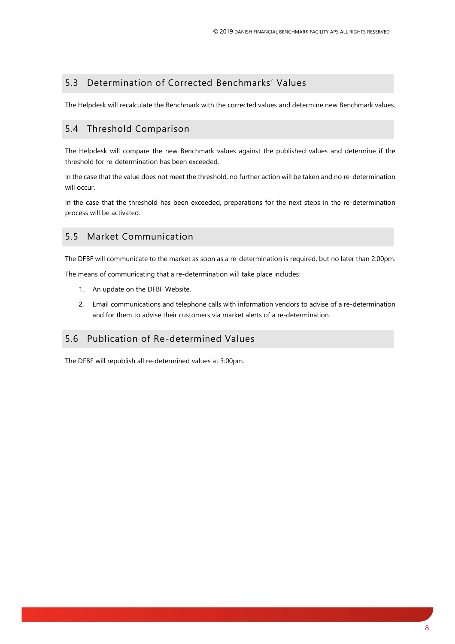## <span id="page-7-0"></span>5.3 Determination of Corrected Benchmarks' Values

<span id="page-7-1"></span>The Helpdesk will recalculate the Benchmark with the corrected values and determine new Benchmark values.

## 5.4 Threshold Comparison

The Helpdesk will compare the new Benchmark values against the published values and determine if the threshold for re-determination has been exceeded.

In the case that the value does not meet the threshold, no further action will be taken and no re-determination will occur.

In the case that the threshold has been exceeded, preparations for the next steps in the re-determination process will be activated.

### <span id="page-7-2"></span>5.5 Market Communication

The DFBF will communicate to the market as soon as a re-determination is required, but no later than 2:00pm.

The means of communicating that a re-determination will take place includes:

- 1. An update on the DFBF Website.
- 2. Email communications and telephone calls with information vendors to advise of a re-determination and for them to advise their customers via market alerts of a re-determination.

### <span id="page-7-3"></span>5.6 Publication of Re-determined Values

The DFBF will republish all re-determined values at 3:00pm.